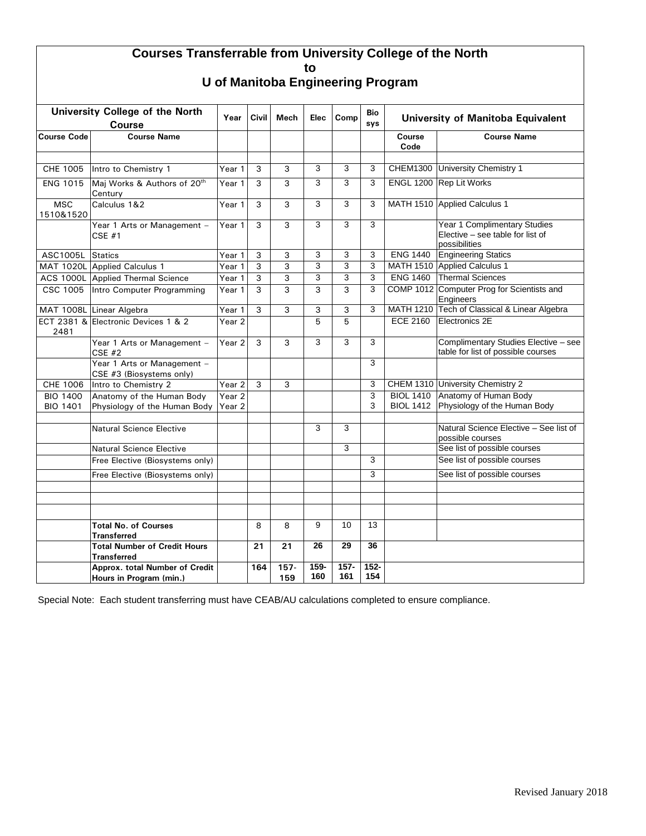## **Courses Transferrable from University College of the North to**

**U of Manitoba Engineering Program**

| University College of the North<br>Course |                                                           | Year                 | Civil | <b>Mech</b>    | Elec        | Comp           | Bio<br>sys     | University of Manitoba Equivalent |                                                                                          |  |
|-------------------------------------------|-----------------------------------------------------------|----------------------|-------|----------------|-------------|----------------|----------------|-----------------------------------|------------------------------------------------------------------------------------------|--|
| <b>Course Code</b>                        | <b>Course Name</b>                                        |                      |       |                |             |                |                | Course<br>Code                    | <b>Course Name</b>                                                                       |  |
| CHE 1005                                  | Intro to Chemistry 1                                      | Year 1               | 3     | 3              | 3           | 3              | 3              |                                   | CHEM1300 University Chemistry 1                                                          |  |
| <b>ENG 1015</b>                           | Maj Works & Authors of 20th<br>Century                    | Year 1               | 3     | 3              | 3           | 3              | 3              |                                   | ENGL 1200 Rep Lit Works                                                                  |  |
| <b>MSC</b><br>1510&1520                   | Calculus 1&2                                              | $\overline{Y}$ ear 1 | 3     | 3              | 3           | 3              | 3              |                                   | MATH 1510 Applied Calculus 1                                                             |  |
|                                           | Year 1 Arts or Management -<br>$CSE$ #1                   | Year 1               | 3     | 3              | 3           | 3              | 3              |                                   | <b>Year 1 Complimentary Studies</b><br>Elective – see table for list of<br>possibilities |  |
| ASC1005L                                  | <b>Statics</b>                                            | Year 1               | 3     | 3              | 3           | 3              | 3              | <b>ENG 1440</b>                   | <b>Engineering Statics</b>                                                               |  |
|                                           | MAT 1020L Applied Calculus 1                              | Year 1               | 3     | 3              | 3           | 3              | 3              |                                   | MATH 1510 Applied Calculus 1                                                             |  |
|                                           | ACS 1000L Applied Thermal Science                         | Year 1               | 3     | 3              | 3           | 3              | 3              | <b>ENG 1460</b>                   | <b>Thermal Sciences</b>                                                                  |  |
| CSC 1005                                  | Intro Computer Programming                                | Year 1               | 3     | 3              | 3           | 3              | 3              |                                   | COMP 1012 Computer Prog for Scientists and<br>Engineers                                  |  |
|                                           | MAT 1008L Linear Algebra                                  | Year 1               | 3     | 3              | 3           | 3              | 3              |                                   | MATH 1210 Tech of Classical & Linear Algebra                                             |  |
| 2481                                      | ECT 2381 & Electronic Devices 1 & 2                       | Year <sub>2</sub>    |       |                | 5           | 5              |                | <b>ECE 2160</b>                   | Electronics 2E                                                                           |  |
|                                           | Year 1 Arts or Management -<br><b>CSE #2</b>              | Year <sub>2</sub>    | 3     | 3              | 3           | 3              | 3              |                                   | Complimentary Studies Elective - see<br>table for list of possible courses               |  |
|                                           | Year 1 Arts or Management -<br>CSE #3 (Biosystems only)   |                      |       |                |             |                | 3              |                                   |                                                                                          |  |
| CHE 1006                                  | Intro to Chemistry 2                                      | Year <sub>2</sub>    | 3     | 3              |             |                | 3              |                                   | CHEM 1310 University Chemistry 2                                                         |  |
| <b>BIO 1400</b>                           | Anatomy of the Human Body                                 | Year <sub>2</sub>    |       |                |             |                | 3              |                                   | BIOL 1410 Anatomy of Human Body                                                          |  |
| <b>BIO 1401</b>                           | Physiology of the Human Body                              | Year 2               |       |                |             |                | 3              | <b>BIOL 1412</b>                  | Physiology of the Human Body                                                             |  |
|                                           | <b>Natural Science Elective</b>                           |                      |       |                | 3           | 3              |                |                                   | Natural Science Elective - See list of<br>possible courses                               |  |
|                                           | <b>Natural Science Elective</b>                           |                      |       |                |             | 3              |                |                                   | See list of possible courses                                                             |  |
|                                           | Free Elective (Biosystems only)                           |                      |       |                |             |                | 3              |                                   | See list of possible courses                                                             |  |
|                                           | Free Elective (Biosystems only)                           |                      |       |                |             |                | 3              |                                   | See list of possible courses                                                             |  |
|                                           |                                                           |                      |       |                |             |                |                |                                   |                                                                                          |  |
|                                           |                                                           |                      |       |                |             |                |                |                                   |                                                                                          |  |
|                                           | <b>Total No. of Courses</b><br><b>Transferred</b>         |                      | 8     | 8              | 9           | 10             | 13             |                                   |                                                                                          |  |
|                                           | <b>Total Number of Credit Hours</b><br><b>Transferred</b> |                      | 21    | 21             | 26          | 29             | 36             |                                   |                                                                                          |  |
|                                           | Approx. total Number of Credit<br>Hours in Program (min.) |                      | 164   | $157 -$<br>159 | 159-<br>160 | $157 -$<br>161 | $152 -$<br>154 |                                   |                                                                                          |  |

Special Note: Each student transferring must have CEAB/AU calculations completed to ensure compliance.